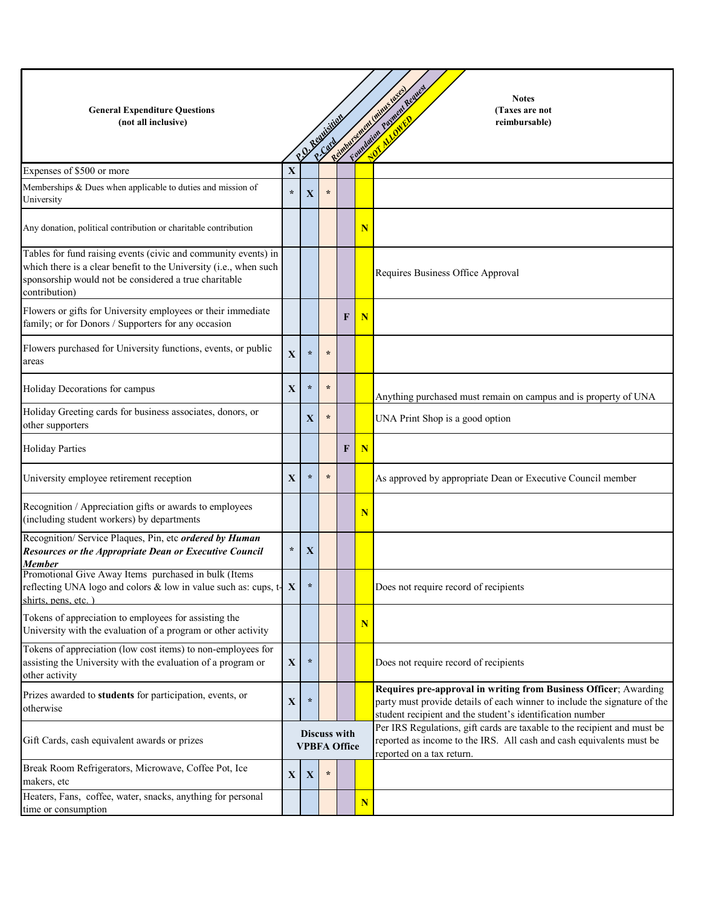| <b>General Expenditure Questions</b><br>(not all inclusive)                                                                                                                                                   |             |                                            | P.D. Requisition |   |             | Foundation Plyment Request<br>Reimburgeneigh Minister Reich<br><b>Notes</b><br>(Taxes are not<br>reimbursable)                                                                                             |
|---------------------------------------------------------------------------------------------------------------------------------------------------------------------------------------------------------------|-------------|--------------------------------------------|------------------|---|-------------|------------------------------------------------------------------------------------------------------------------------------------------------------------------------------------------------------------|
|                                                                                                                                                                                                               |             |                                            | P.Cord           |   |             |                                                                                                                                                                                                            |
| Expenses of \$500 or more                                                                                                                                                                                     | X           |                                            |                  |   |             |                                                                                                                                                                                                            |
| Memberships & Dues when applicable to duties and mission of<br>University                                                                                                                                     | $\star$     | $\mathbf{X}$                               | $\star$          |   |             |                                                                                                                                                                                                            |
| Any donation, political contribution or charitable contribution                                                                                                                                               |             |                                            |                  |   | N           |                                                                                                                                                                                                            |
| Tables for fund raising events (civic and community events) in<br>which there is a clear benefit to the University (i.e., when such<br>sponsorship would not be considered a true charitable<br>contribution) |             |                                            |                  |   |             | Requires Business Office Approval                                                                                                                                                                          |
| Flowers or gifts for University employees or their immediate<br>family; or for Donors / Supporters for any occasion                                                                                           |             |                                            |                  | F | N           |                                                                                                                                                                                                            |
| Flowers purchased for University functions, events, or public<br>areas                                                                                                                                        | $\mathbf X$ | $\star$                                    | $\star$          |   |             |                                                                                                                                                                                                            |
| Holiday Decorations for campus                                                                                                                                                                                | X           | $\star$                                    | $\star$          |   |             | Anything purchased must remain on campus and is property of UNA                                                                                                                                            |
| Holiday Greeting cards for business associates, donors, or<br>other supporters                                                                                                                                |             | X                                          | $\star$          |   |             | UNA Print Shop is a good option                                                                                                                                                                            |
| <b>Holiday Parties</b>                                                                                                                                                                                        |             |                                            |                  | F | $\mathbf N$ |                                                                                                                                                                                                            |
| University employee retirement reception                                                                                                                                                                      | X           | $\star$                                    | $\star$          |   |             | As approved by appropriate Dean or Executive Council member                                                                                                                                                |
| Recognition / Appreciation gifts or awards to employees<br>(including student workers) by departments                                                                                                         |             |                                            |                  |   | N           |                                                                                                                                                                                                            |
| Recognition/ Service Plaques, Pin, etc ordered by Human<br><b>Resources or the Appropriate Dean or Executive Council</b><br>Member                                                                            | $\star$     | X                                          |                  |   |             |                                                                                                                                                                                                            |
| Promotional Give Away Items purchased in bulk (Items<br>reflecting UNA logo and colors & low in value such as: cups, $t\{X\}$<br>shirts, pens, etc.                                                           |             | $\star$                                    |                  |   |             | Does not require record of recipients                                                                                                                                                                      |
| Tokens of appreciation to employees for assisting the<br>University with the evaluation of a program or other activity                                                                                        |             |                                            |                  |   | N           |                                                                                                                                                                                                            |
| Tokens of appreciation (low cost items) to non-employees for<br>assisting the University with the evaluation of a program or<br>other activity                                                                | $\mathbf X$ | $\star$                                    |                  |   |             | Does not require record of recipients                                                                                                                                                                      |
| Prizes awarded to students for participation, events, or<br>otherwise                                                                                                                                         | X           | $\star$                                    |                  |   |             | Requires pre-approval in writing from Business Officer; Awarding<br>party must provide details of each winner to include the signature of the<br>student recipient and the student's identification number |
| Gift Cards, cash equivalent awards or prizes                                                                                                                                                                  |             | <b>Discuss with</b><br><b>VPBFA Office</b> |                  |   |             | Per IRS Regulations, gift cards are taxable to the recipient and must be<br>reported as income to the IRS. All cash and cash equivalents must be<br>reported on a tax return.                              |
| Break Room Refrigerators, Microwave, Coffee Pot, Ice<br>makers, etc                                                                                                                                           | $\mathbf X$ | X                                          | $\star$          |   |             |                                                                                                                                                                                                            |
| Heaters, Fans, coffee, water, snacks, anything for personal<br>time or consumption                                                                                                                            |             |                                            |                  |   | N           |                                                                                                                                                                                                            |